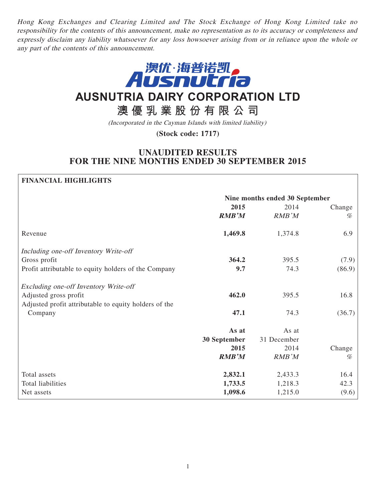Hong Kong Exchanges and Clearing Limited and The Stock Exchange of Hong Kong Limited take no responsibility for the contents of this announcement, make no representation as to its accuracy or completeness and expressly disclaim any liability whatsoever for any loss howsoever arising from or in reliance upon the whole or any part of the contents of this announcement.



# **AUSNUTRIA DAIRY CORPORATION LTD**

## **澳優乳業股份有限公司**

(Incorporated in the Cayman Islands with limited liability)

**(Stock code: 1717)**

## **UNAUDITED RESULTS FOR THE NINE MONTHS ENDED 30 SEPTEMBER 2015**

#### **FINANCIAL HIGHLIGHTS**

|                                                       | Nine months ended 30 September |             |        |
|-------------------------------------------------------|--------------------------------|-------------|--------|
|                                                       | 2015                           | 2014        | Change |
|                                                       | <b>RMB'M</b>                   | RMB'M       | %      |
| Revenue                                               | 1,469.8                        | 1,374.8     | 6.9    |
| Including one-off Inventory Write-off                 |                                |             |        |
| Gross profit                                          | 364.2                          | 395.5       | (7.9)  |
| Profit attributable to equity holders of the Company  | 9.7                            | 74.3        | (86.9) |
| Excluding one-off Inventory Write-off                 |                                |             |        |
| Adjusted gross profit                                 | 462.0                          | 395.5       | 16.8   |
| Adjusted profit attributable to equity holders of the |                                |             |        |
| Company                                               | 47.1                           | 74.3        | (36.7) |
|                                                       | As at                          | As at       |        |
|                                                       | 30 September                   | 31 December |        |
|                                                       | 2015                           | 2014        | Change |
|                                                       | <b>RMB'M</b>                   | RMB'M       | %      |
| Total assets                                          | 2,832.1                        | 2,433.3     | 16.4   |
| <b>Total liabilities</b>                              | 1,733.5                        | 1,218.3     | 42.3   |
| Net assets                                            | 1,098.6                        | 1,215.0     | (9.6)  |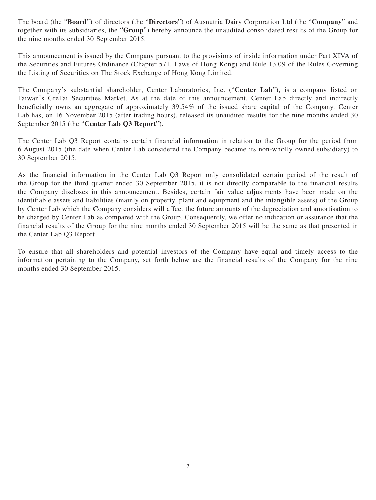The board (the "**Board**") of directors (the "**Directors**") of Ausnutria Dairy Corporation Ltd (the "**Company**" and together with its subsidiaries, the "**Group**") hereby announce the unaudited consolidated results of the Group for the nine months ended 30 September 2015.

This announcement is issued by the Company pursuant to the provisions of inside information under Part XIVA of the Securities and Futures Ordinance (Chapter 571, Laws of Hong Kong) and Rule 13.09 of the Rules Governing the Listing of Securities on The Stock Exchange of Hong Kong Limited.

The Company's substantial shareholder, Center Laboratories, Inc. ("**Center Lab**"), is a company listed on Taiwan's GreTai Securities Market. As at the date of this announcement, Center Lab directly and indirectly beneficially owns an aggregate of approximately 39.54% of the issued share capital of the Company. Center Lab has, on 16 November 2015 (after trading hours), released its unaudited results for the nine months ended 30 September 2015 (the "**Center Lab Q3 Report**").

The Center Lab Q3 Report contains certain financial information in relation to the Group for the period from 6 August 2015 (the date when Center Lab considered the Company became its non-wholly owned subsidiary) to 30 September 2015.

As the financial information in the Center Lab Q3 Report only consolidated certain period of the result of the Group for the third quarter ended 30 September 2015, it is not directly comparable to the financial results the Company discloses in this announcement. Besides, certain fair value adjustments have been made on the identifiable assets and liabilities (mainly on property, plant and equipment and the intangible assets) of the Group by Center Lab which the Company considers will affect the future amounts of the depreciation and amortisation to be charged by Center Lab as compared with the Group. Consequently, we offer no indication or assurance that the financial results of the Group for the nine months ended 30 September 2015 will be the same as that presented in the Center Lab Q3 Report.

To ensure that all shareholders and potential investors of the Company have equal and timely access to the information pertaining to the Company, set forth below are the financial results of the Company for the nine months ended 30 September 2015.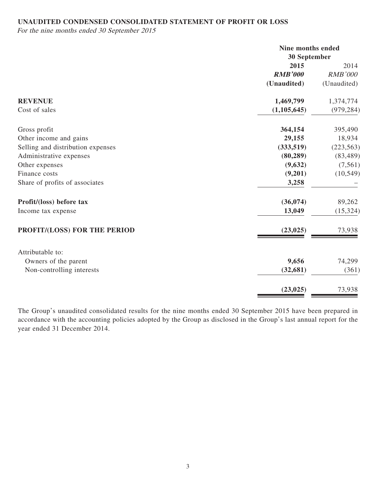## **UNAUDITED CONDENSED CONSOLIDATED STATEMENT OF PROFIT OR LOSS**

For the nine months ended 30 September 2015

|                                   | Nine months ended<br>30 September |                |
|-----------------------------------|-----------------------------------|----------------|
|                                   | 2015                              | 2014           |
|                                   | <b>RMB'000</b>                    | <b>RMB'000</b> |
|                                   | (Unaudited)                       | (Unaudited)    |
| <b>REVENUE</b>                    | 1,469,799                         | 1,374,774      |
| Cost of sales                     | (1, 105, 645)                     | (979, 284)     |
| Gross profit                      | 364,154                           | 395,490        |
| Other income and gains            | 29,155                            | 18,934         |
| Selling and distribution expenses | (333,519)                         | (223, 563)     |
| Administrative expenses           | (80, 289)                         | (83, 489)      |
| Other expenses                    | (9,632)                           | (7, 561)       |
| Finance costs                     | (9,201)                           | (10, 549)      |
| Share of profits of associates    | 3,258                             |                |
| Profit/(loss) before tax          | (36, 074)                         | 89,262         |
| Income tax expense                | 13,049                            | (15, 324)      |
| PROFIT/(LOSS) FOR THE PERIOD      | (23, 025)                         | 73,938         |
| Attributable to:                  |                                   |                |
| Owners of the parent              | 9,656                             | 74,299         |
| Non-controlling interests         | (32, 681)                         | (361)          |
|                                   | (23, 025)                         | 73,938         |

The Group's unaudited consolidated results for the nine months ended 30 September 2015 have been prepared in accordance with the accounting policies adopted by the Group as disclosed in the Group's last annual report for the year ended 31 December 2014.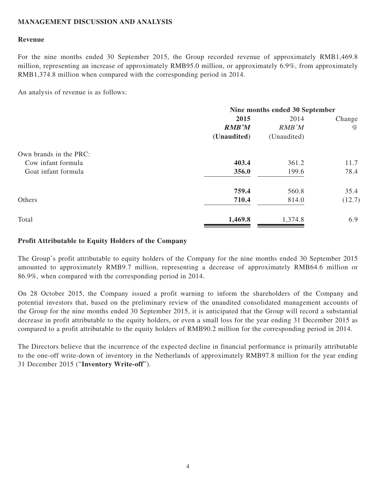## **MANAGEMENT DISCUSSION AND ANALYSIS**

#### **Revenue**

For the nine months ended 30 September 2015, the Group recorded revenue of approximately RMB1,469.8 million, representing an increase of approximately RMB95.0 million, or approximately 6.9%, from approximately RMB1,374.8 million when compared with the corresponding period in 2014.

An analysis of revenue is as follows:

|                        | Nine months ended 30 September |             |        |
|------------------------|--------------------------------|-------------|--------|
|                        | 2015                           | 2014        | Change |
|                        | <b>RMB'M</b>                   | RMB'M       | %      |
|                        | (Unaudited)                    | (Unaudited) |        |
| Own brands in the PRC: |                                |             |        |
| Cow infant formula     | 403.4                          | 361.2       | 11.7   |
| Goat infant formula    | 356.0                          | 199.6       | 78.4   |
|                        | 759.4                          | 560.8       | 35.4   |
| Others                 | 710.4                          | 814.0       | (12.7) |
| Total                  | 1,469.8                        | 1,374.8     | 6.9    |
|                        |                                |             |        |

### **Profit Attributable to Equity Holders of the Company**

The Group's profit attributable to equity holders of the Company for the nine months ended 30 September 2015 amounted to approximately RMB9.7 million, representing a decrease of approximately RMB64.6 million or 86.9%, when compared with the corresponding period in 2014.

On 28 October 2015, the Company issued a profit warning to inform the shareholders of the Company and potential investors that, based on the preliminary review of the unaudited consolidated management accounts of the Group for the nine months ended 30 September 2015, it is anticipated that the Group will record a substantial decrease in profit attributable to the equity holders, or even a small loss for the year ending 31 December 2015 as compared to a profit attributable to the equity holders of RMB90.2 million for the corresponding period in 2014.

The Directors believe that the incurrence of the expected decline in financial performance is primarily attributable to the one-off write-down of inventory in the Netherlands of approximately RMB97.8 million for the year ending 31 December 2015 ("**Inventory Write-off**").